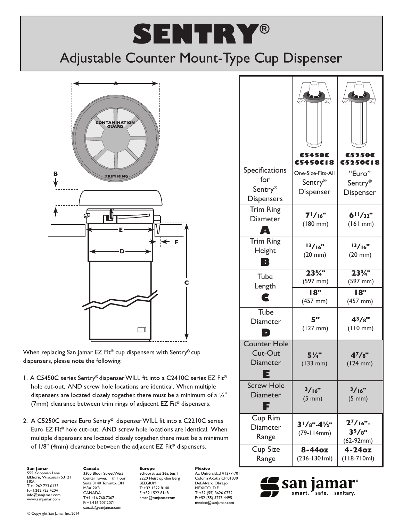## **SENTRY®**

## Adjustable Counter Mount-Type Cup Dispenser



When replacing San Jamar EZ Fit® cup dispensers with Sentry® cup dispensers, please note the following:

- I. A C5450C series Sentry® dispenser WILL fit into a C2410C series EZ Fit® hole cut-out, AND screw hole locations are identical. When multiple dispensers are located closely together, there must be a minimum of a 1/4" (7mm) clearance between trim rings of adjacent  $EZ$  Fit<sup>®</sup> dispensers.
- 2. A C5250C series Euro Sentry® dispenser WILL fit into a C2210C series Euro EZ Fit<sup>®</sup> hole cut-out, AND screw hole locations are identical. When multiple dispensers are located closely together, there must be a minimum of 1/8" (4mm) clearance between the adjacent EZ Fit® dispensers.

**San Jamar** 555 Koopman Lane Elkhorn, Wisconsin 53121 USA T:+1.262.723.6133 F:+1.262.723.4204 info@sanjamar.com www.sanjamar.com

**Canada** 3300 Bloor Street West Center Tower, 11th Floor Suite 3140 Toronto, ON M8X 2X3 CANADA T:+1.416.760.7367 F: +1.416.207.2071 canada@sanjamar.com

**Europe** Schoorstraat 26a, bus 1 2220 Heist op-den Berg BELGIUM T: +32 1522 8140 F: +32 1522 8148 emea@sanjamar.com

**México** Av. Universidad #1377-701 Colonia Axotla CP 01030 Del. Alvaro Obrego MEXICO, D.F. T: +52 (55) 3626 0772 F: +52 (55) 5273 4495 mexico@sanjamar.com